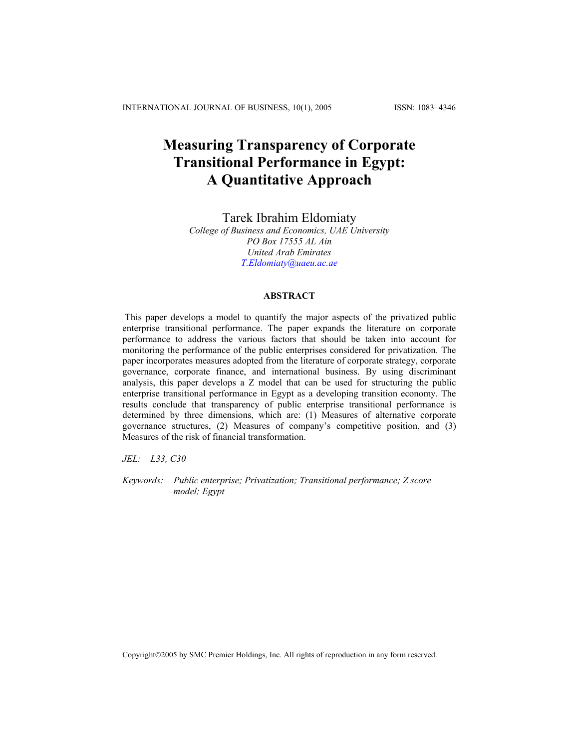# **Measuring Transparency of Corporate Transitional Performance in Egypt: A Quantitative Approach**

Tarek Ibrahim Eldomiaty

*College of Business and Economics, UAE University PO Box 17555 AL Ain United Arab Emirates [T.Eldomiaty@uaeu.ac.ae](mailto:T.Eldomiaty@uaeu.ac.ae)*

# **ABSTRACT**

This paper develops a model to quantify the major aspects of the privatized public enterprise transitional performance. The paper expands the literature on corporate performance to address the various factors that should be taken into account for monitoring the performance of the public enterprises considered for privatization. The paper incorporates measures adopted from the literature of corporate strategy, corporate governance, corporate finance, and international business. By using discriminant analysis, this paper develops a Z model that can be used for structuring the public enterprise transitional performance in Egypt as a developing transition economy. The results conclude that transparency of public enterprise transitional performance is determined by three dimensions, which are: (1) Measures of alternative corporate governance structures, (2) Measures of company's competitive position, and (3) Measures of the risk of financial transformation.

*JEL: L33, C30* 

*Keywords: Public enterprise; Privatization; Transitional performance; Z score model; Egypt* 

Copyright©2005 by SMC Premier Holdings, Inc. All rights of reproduction in any form reserved.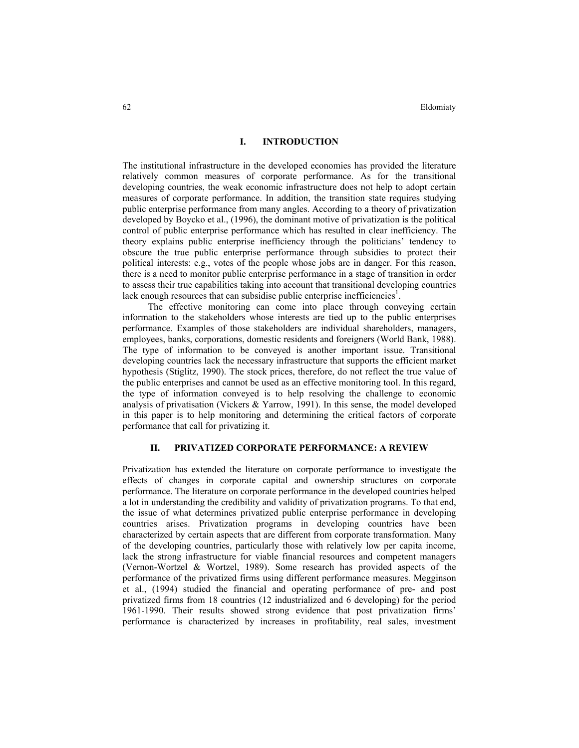## **I. INTRODUCTION**

The institutional infrastructure in the developed economies has provided the literature relatively common measures of corporate performance. As for the transitional developing countries, the weak economic infrastructure does not help to adopt certain measures of corporate performance. In addition, the transition state requires studying public enterprise performance from many angles. According to a theory of privatization developed by Boycko et al., (1996), the dominant motive of privatization is the political control of public enterprise performance which has resulted in clear inefficiency. The theory explains public enterprise inefficiency through the politicians' tendency to obscure the true public enterprise performance through subsidies to protect their political interests: e.g., votes of the people whose jobs are in danger. For this reason, there is a need to monitor public enterprise performance in a stage of transition in order to assess their true capabilities taking into account that transitional developing countries lack enough resources that can subsidise public enterprise inefficiencies<sup>1</sup>.

The effective monitoring can come into place through conveying certain information to the stakeholders whose interests are tied up to the public enterprises performance. Examples of those stakeholders are individual shareholders, managers, employees, banks, corporations, domestic residents and foreigners (World Bank, 1988). The type of information to be conveyed is another important issue. Transitional developing countries lack the necessary infrastructure that supports the efficient market hypothesis (Stiglitz, 1990). The stock prices, therefore, do not reflect the true value of the public enterprises and cannot be used as an effective monitoring tool. In this regard, the type of information conveyed is to help resolving the challenge to economic analysis of privatisation (Vickers & Yarrow, 1991). In this sense, the model developed in this paper is to help monitoring and determining the critical factors of corporate performance that call for privatizing it.

# **II. PRIVATIZED CORPORATE PERFORMANCE: A REVIEW**

Privatization has extended the literature on corporate performance to investigate the effects of changes in corporate capital and ownership structures on corporate performance. The literature on corporate performance in the developed countries helped a lot in understanding the credibility and validity of privatization programs. To that end, the issue of what determines privatized public enterprise performance in developing countries arises. Privatization programs in developing countries have been characterized by certain aspects that are different from corporate transformation. Many of the developing countries, particularly those with relatively low per capita income, lack the strong infrastructure for viable financial resources and competent managers (Vernon-Wortzel & Wortzel, 1989). Some research has provided aspects of the performance of the privatized firms using different performance measures. Megginson et al., (1994) studied the financial and operating performance of pre- and post privatized firms from 18 countries (12 industrialized and 6 developing) for the period 1961-1990. Their results showed strong evidence that post privatization firms' performance is characterized by increases in profitability, real sales, investment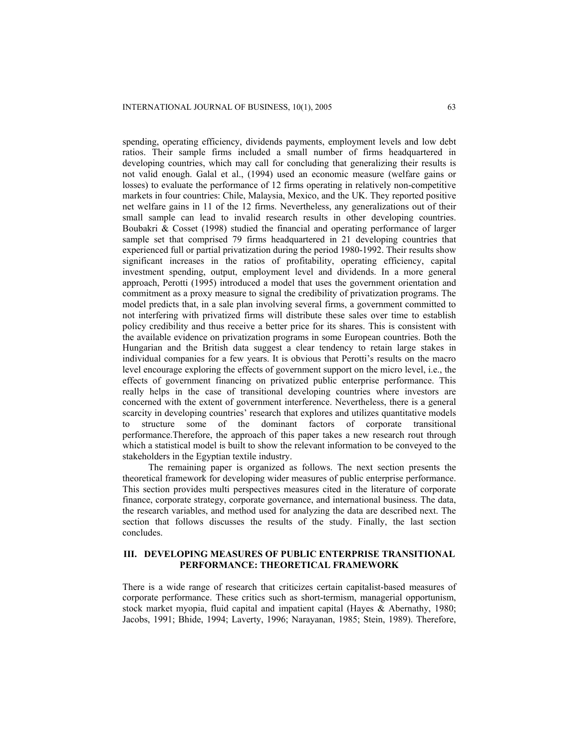spending, operating efficiency, dividends payments, employment levels and low debt ratios. Their sample firms included a small number of firms headquartered in developing countries, which may call for concluding that generalizing their results is not valid enough. Galal et al., (1994) used an economic measure (welfare gains or losses) to evaluate the performance of 12 firms operating in relatively non-competitive markets in four countries: Chile, Malaysia, Mexico, and the UK. They reported positive net welfare gains in 11 of the 12 firms. Nevertheless, any generalizations out of their small sample can lead to invalid research results in other developing countries. Boubakri & Cosset (1998) studied the financial and operating performance of larger sample set that comprised 79 firms headquartered in 21 developing countries that experienced full or partial privatization during the period 1980-1992. Their results show significant increases in the ratios of profitability, operating efficiency, capital investment spending, output, employment level and dividends. In a more general approach, Perotti (1995) introduced a model that uses the government orientation and commitment as a proxy measure to signal the credibility of privatization programs. The model predicts that, in a sale plan involving several firms, a government committed to not interfering with privatized firms will distribute these sales over time to establish policy credibility and thus receive a better price for its shares. This is consistent with the available evidence on privatization programs in some European countries. Both the Hungarian and the British data suggest a clear tendency to retain large stakes in individual companies for a few years. It is obvious that Perotti's results on the macro level encourage exploring the effects of government support on the micro level, i.e., the effects of government financing on privatized public enterprise performance. This really helps in the case of transitional developing countries where investors are concerned with the extent of government interference. Nevertheless, there is a general scarcity in developing countries' research that explores and utilizes quantitative models to structure some of the dominant factors of corporate transitional performance.Therefore, the approach of this paper takes a new research rout through which a statistical model is built to show the relevant information to be conveyed to the stakeholders in the Egyptian textile industry.

The remaining paper is organized as follows. The next section presents the theoretical framework for developing wider measures of public enterprise performance. This section provides multi perspectives measures cited in the literature of corporate finance, corporate strategy, corporate governance, and international business. The data, the research variables, and method used for analyzing the data are described next. The section that follows discusses the results of the study. Finally, the last section concludes.

## **III. DEVELOPING MEASURES OF PUBLIC ENTERPRISE TRANSITIONAL PERFORMANCE: THEORETICAL FRAMEWORK**

There is a wide range of research that criticizes certain capitalist-based measures of corporate performance. These critics such as short-termism, managerial opportunism, stock market myopia, fluid capital and impatient capital (Hayes & Abernathy, 1980; Jacobs, 1991; Bhide, 1994; Laverty, 1996; Narayanan, 1985; Stein, 1989). Therefore,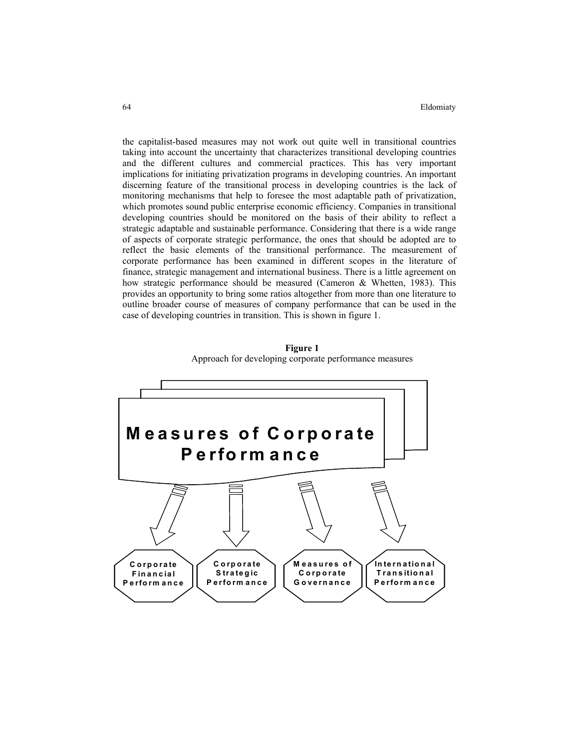the capitalist-based measures may not work out quite well in transitional countries taking into account the uncertainty that characterizes transitional developing countries and the different cultures and commercial practices. This has very important implications for initiating privatization programs in developing countries. An important discerning feature of the transitional process in developing countries is the lack of monitoring mechanisms that help to foresee the most adaptable path of privatization, which promotes sound public enterprise economic efficiency. Companies in transitional developing countries should be monitored on the basis of their ability to reflect a strategic adaptable and sustainable performance. Considering that there is a wide range of aspects of corporate strategic performance, the ones that should be adopted are to reflect the basic elements of the transitional performance. The measurement of corporate performance has been examined in different scopes in the literature of finance, strategic management and international business. There is a little agreement on how strategic performance should be measured (Cameron & Whetten, 1983). This provides an opportunity to bring some ratios altogether from more than one literature to outline broader course of measures of company performance that can be used in the case of developing countries in transition. This is shown in figure 1.

**Figure 1**  Approach for developing corporate performance measures

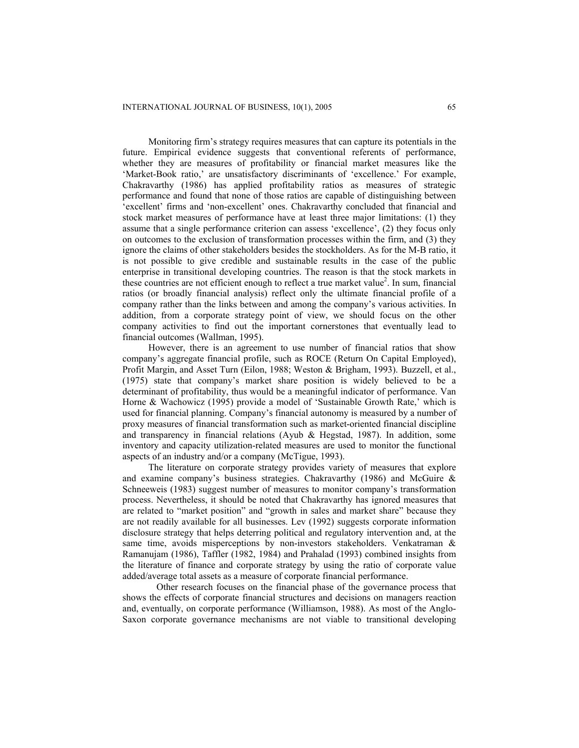Monitoring firm's strategy requires measures that can capture its potentials in the future. Empirical evidence suggests that conventional referents of performance, whether they are measures of profitability or financial market measures like the 'Market-Book ratio,' are unsatisfactory discriminants of 'excellence.' For example, Chakravarthy (1986) has applied profitability ratios as measures of strategic performance and found that none of those ratios are capable of distinguishing between 'excellent' firms and 'non-excellent' ones. Chakravarthy concluded that financial and stock market measures of performance have at least three major limitations: (1) they assume that a single performance criterion can assess 'excellence', (2) they focus only on outcomes to the exclusion of transformation processes within the firm, and (3) they ignore the claims of other stakeholders besides the stockholders. As for the M-B ratio, it is not possible to give credible and sustainable results in the case of the public enterprise in transitional developing countries. The reason is that the stock markets in these countries are not efficient enough to reflect a true market value<sup>2</sup>. In sum, financial ratios (or broadly financial analysis) reflect only the ultimate financial profile of a company rather than the links between and among the company's various activities. In addition, from a corporate strategy point of view, we should focus on the other company activities to find out the important cornerstones that eventually lead to financial outcomes (Wallman, 1995).

However, there is an agreement to use number of financial ratios that show company's aggregate financial profile, such as ROCE (Return On Capital Employed), Profit Margin, and Asset Turn (Eilon, 1988; Weston & Brigham, 1993). Buzzell, et al., (1975) state that company's market share position is widely believed to be a determinant of profitability, thus would be a meaningful indicator of performance. Van Horne & Wachowicz (1995) provide a model of 'Sustainable Growth Rate,' which is used for financial planning. Company's financial autonomy is measured by a number of proxy measures of financial transformation such as market-oriented financial discipline and transparency in financial relations (Ayub  $\&$  Hegstad, 1987). In addition, some inventory and capacity utilization-related measures are used to monitor the functional aspects of an industry and/or a company (McTigue, 1993).

The literature on corporate strategy provides variety of measures that explore and examine company's business strategies. Chakravarthy (1986) and McGuire & Schneeweis (1983) suggest number of measures to monitor company's transformation process. Nevertheless, it should be noted that Chakravarthy has ignored measures that are related to "market position" and "growth in sales and market share" because they are not readily available for all businesses. Lev (1992) suggests corporate information disclosure strategy that helps deterring political and regulatory intervention and, at the same time, avoids misperceptions by non-investors stakeholders. Venkatraman & Ramanujam (1986), Taffler (1982, 1984) and Prahalad (1993) combined insights from the literature of finance and corporate strategy by using the ratio of corporate value added/average total assets as a measure of corporate financial performance.

Other research focuses on the financial phase of the governance process that shows the effects of corporate financial structures and decisions on managers reaction and, eventually, on corporate performance (Williamson, 1988). As most of the Anglo-Saxon corporate governance mechanisms are not viable to transitional developing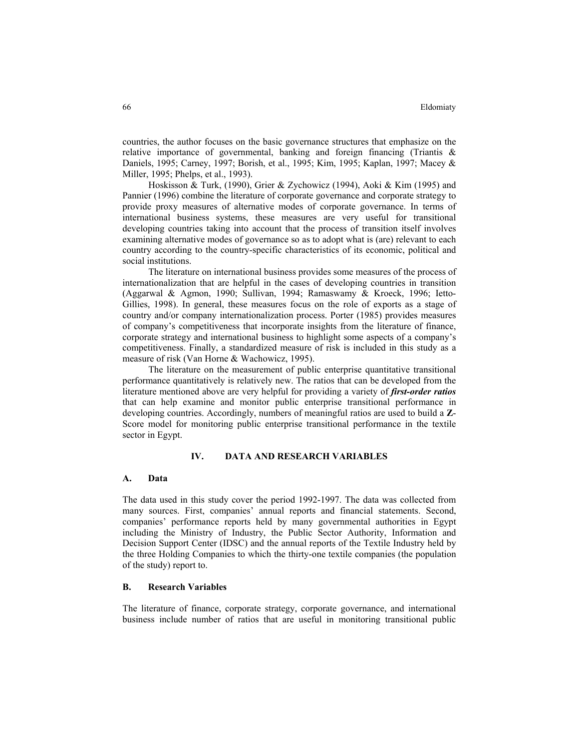countries, the author focuses on the basic governance structures that emphasize on the relative importance of governmental, banking and foreign financing (Triantis & Daniels, 1995; Carney, 1997; Borish, et al., 1995; Kim, 1995; Kaplan, 1997; Macey & Miller, 1995; Phelps, et al., 1993).

Hoskisson & Turk, (1990), Grier & Zychowicz (1994), Aoki & Kim (1995) and Pannier (1996) combine the literature of corporate governance and corporate strategy to provide proxy measures of alternative modes of corporate governance. In terms of international business systems, these measures are very useful for transitional developing countries taking into account that the process of transition itself involves examining alternative modes of governance so as to adopt what is (are) relevant to each country according to the country-specific characteristics of its economic, political and social institutions.

The literature on international business provides some measures of the process of internationalization that are helpful in the cases of developing countries in transition (Aggarwal & Agmon, 1990; Sullivan, 1994; Ramaswamy & Kroeck, 1996; Ietto-Gillies, 1998). In general, these measures focus on the role of exports as a stage of country and/or company internationalization process. Porter (1985) provides measures of company's competitiveness that incorporate insights from the literature of finance, corporate strategy and international business to highlight some aspects of a company's competitiveness. Finally, a standardized measure of risk is included in this study as a measure of risk (Van Horne & Wachowicz, 1995).

The literature on the measurement of public enterprise quantitative transitional performance quantitatively is relatively new. The ratios that can be developed from the literature mentioned above are very helpful for providing a variety of *first-order ratios* that can help examine and monitor public enterprise transitional performance in developing countries. Accordingly, numbers of meaningful ratios are used to build a **Z**-Score model for monitoring public enterprise transitional performance in the textile sector in Egypt.

# **IV. DATA AND RESEARCH VARIABLES**

#### **A. Data**

The data used in this study cover the period 1992-1997. The data was collected from many sources. First, companies' annual reports and financial statements. Second, companies' performance reports held by many governmental authorities in Egypt including the Ministry of Industry, the Public Sector Authority, Information and Decision Support Center (IDSC) and the annual reports of the Textile Industry held by the three Holding Companies to which the thirty-one textile companies (the population of the study) report to.

# **B. Research Variables**

The literature of finance, corporate strategy, corporate governance, and international business include number of ratios that are useful in monitoring transitional public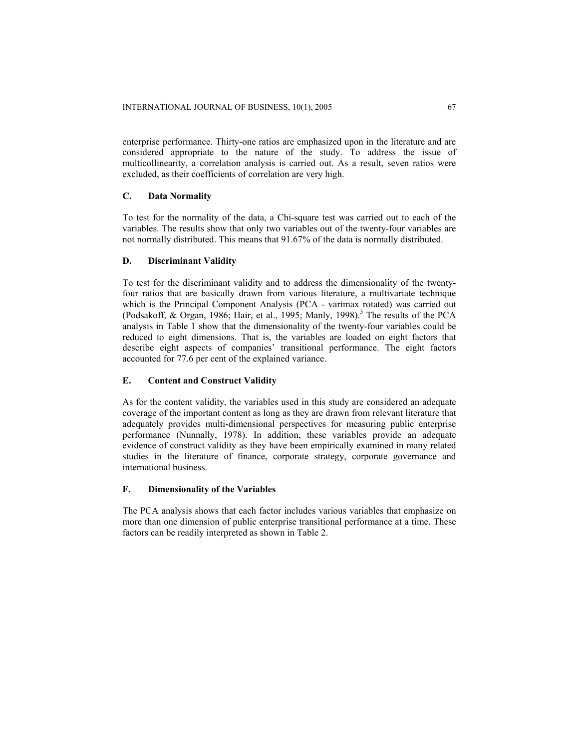enterprise performance. Thirty-one ratios are emphasized upon in the literature and are considered appropriate to the nature of the study. To address the issue of multicollinearity, a correlation analysis is carried out. As a result, seven ratios were excluded, as their coefficients of correlation are very high.

#### **C. Data Normality**

To test for the normality of the data, a Chi-square test was carried out to each of the variables. The results show that only two variables out of the twenty-four variables are not normally distributed. This means that 91.67% of the data is normally distributed.

#### **D. Discriminant Validity**

To test for the discriminant validity and to address the dimensionality of the twentyfour ratios that are basically drawn from various literature, a multivariate technique which is the Principal Component Analysis (PCA - varimax rotated) was carried out (Podsakoff, & Organ, 1986; Hair, et al., 1995; Manly, 1998).<sup>3</sup> The results of the PCA analysis in Table 1 show that the dimensionality of the twenty-four variables could be reduced to eight dimensions. That is, the variables are loaded on eight factors that describe eight aspects of companies' transitional performance. The eight factors accounted for 77.6 per cent of the explained variance.

## **E. Content and Construct Validity**

As for the content validity, the variables used in this study are considered an adequate coverage of the important content as long as they are drawn from relevant literature that adequately provides multi-dimensional perspectives for measuring public enterprise performance (Nunnally, 1978). In addition, these variables provide an adequate evidence of construct validity as they have been empirically examined in many related studies in the literature of finance, corporate strategy, corporate governance and international business.

## **F. Dimensionality of the Variables**

The PCA analysis shows that each factor includes various variables that emphasize on more than one dimension of public enterprise transitional performance at a time. These factors can be readily interpreted as shown in Table 2.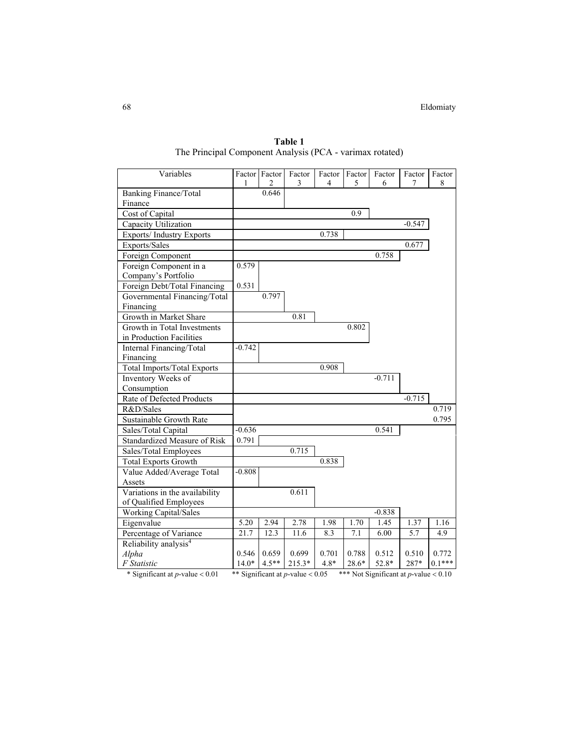| Variables                          | 1        | Factor Factor<br>$\overline{2}$ | Factor<br>3 | Factor<br>4 | Factor<br>5 | Factor<br>6 | Factor<br>7 | Factor<br>8 |
|------------------------------------|----------|---------------------------------|-------------|-------------|-------------|-------------|-------------|-------------|
| Banking Finance/Total              |          | 0.646                           |             |             |             |             |             |             |
| Finance                            |          |                                 |             |             |             |             |             |             |
| Cost of Capital                    |          |                                 |             |             | 0.9         |             |             |             |
| Capacity Utilization               |          |                                 |             |             |             |             | $-0.547$    |             |
| <b>Exports/Industry Exports</b>    |          |                                 |             | 0.738       |             |             |             |             |
| Exports/Sales                      |          |                                 |             |             |             |             | 0.677       |             |
| Foreign Component                  |          |                                 |             |             |             | 0.758       |             |             |
| Foreign Component in a             | 0.579    |                                 |             |             |             |             |             |             |
| Company's Portfolio                |          |                                 |             |             |             |             |             |             |
| Foreign Debt/Total Financing       | 0.531    |                                 |             |             |             |             |             |             |
| Governmental Financing/Total       |          | 0.797                           |             |             |             |             |             |             |
| Financing                          |          |                                 |             |             |             |             |             |             |
| Growth in Market Share             |          |                                 | 0.81        |             |             |             |             |             |
| Growth in Total Investments        |          |                                 |             |             | 0.802       |             |             |             |
| in Production Facilities           |          |                                 |             |             |             |             |             |             |
| Internal Financing/Total           | $-0.742$ |                                 |             |             |             |             |             |             |
| Financing                          |          |                                 |             |             |             |             |             |             |
| <b>Total Imports/Total Exports</b> |          |                                 |             | 0.908       |             |             |             |             |
| Inventory Weeks of                 |          |                                 |             |             |             | $-0.711$    |             |             |
| Consumption                        |          |                                 |             |             |             |             |             |             |
| Rate of Defected Products          |          |                                 |             |             |             |             | $-0.715$    |             |
| R&D/Sales                          |          |                                 |             |             |             |             |             | 0.719       |
| Sustainable Growth Rate            |          |                                 |             |             |             |             |             | 0.795       |
| Sales/Total Capital                | $-0.636$ |                                 |             |             |             | 0.541       |             |             |
| Standardized Measure of Risk       | 0.791    |                                 |             |             |             |             |             |             |
| Sales/Total Employees              |          |                                 | 0.715       |             |             |             |             |             |
| <b>Total Exports Growth</b>        |          |                                 |             | 0.838       |             |             |             |             |
| Value Added/Average Total          | $-0.808$ |                                 |             |             |             |             |             |             |
| Assets                             |          |                                 |             |             |             |             |             |             |
| Variations in the availability     |          |                                 | 0.611       |             |             |             |             |             |
| of Qualified Employees             |          |                                 |             |             |             |             |             |             |
| <b>Working Capital/Sales</b>       |          |                                 |             |             |             | $-0.838$    |             |             |
| Eigenvalue                         | 5.20     | 2.94                            | 2.78        | 1.98        | 1.70        | 1.45        | 1.37        | 1.16        |
| Percentage of Variance             | 21.7     | 12.3                            | 11.6        | 8.3         | 7.1         | 6.00        | 5.7         | 4.9         |
| Reliability analysis <sup>4</sup>  |          |                                 |             |             |             |             |             |             |
| Alpha                              | 0.546    | 0.659                           | 0.699       | 0.701       | 0.788       | 0.512       | 0.510       | 0.772       |
| F Statistic                        | $14.0*$  | $4.5**$                         | 215.3*      | 4.8*        | 28.6*       | 52.8*       | 287*        | $0.1***$    |

**Table 1**  The Principal Component Analysis (PCA - varimax rotated)

\* Significant at *p*-value < 0.01 \*\* Significant at *p*-value < 0.05 \*\*\* Not Significant at *p*-value < 0.10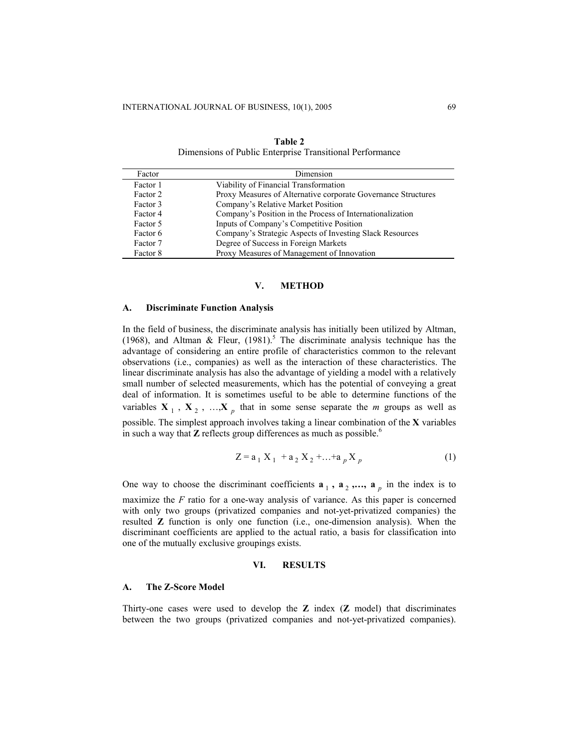| Factor   | Dimension                                                     |
|----------|---------------------------------------------------------------|
| Factor 1 | Viability of Financial Transformation                         |
| Factor 2 | Proxy Measures of Alternative corporate Governance Structures |
| Factor 3 | Company's Relative Market Position                            |
| Factor 4 | Company's Position in the Process of Internationalization     |
| Factor 5 | Inputs of Company's Competitive Position                      |
| Factor 6 | Company's Strategic Aspects of Investing Slack Resources      |
| Factor 7 | Degree of Success in Foreign Markets                          |
| Factor 8 | Proxy Measures of Management of Innovation                    |

**Table 2** Dimensions of Public Enterprise Transitional Performance

#### **V. METHOD**

# **A. Discriminate Function Analysis**

In the field of business, the discriminate analysis has initially been utilized by Altman, (1968), and Altman & Fleur,  $(1981)$ .<sup>5</sup> The discriminate analysis technique has the advantage of considering an entire profile of characteristics common to the relevant observations (i.e., companies) as well as the interaction of these characteristics. The linear discriminate analysis has also the advantage of yielding a model with a relatively small number of selected measurements, which has the potential of conveying a great deal of information. It is sometimes useful to be able to determine functions of the variables  $X_1$ ,  $X_2$ , ..., $X_p$  that in some sense separate the *m* groups as well as possible. The simplest approach involves taking a linear combination of the **X** variables in such a way that **Z** reflects group differences as much as possible. 6

$$
Z = a_1 X_1 + a_2 X_2 + ... + a_p X_p
$$
 (1)

One way to choose the discriminant coefficients  $\mathbf{a}_1$ ,  $\mathbf{a}_2$ ,...,  $\mathbf{a}_p$  in the index is to maximize the *F* ratio for a one-way analysis of variance. As this paper is concerned with only two groups (privatized companies and not-yet-privatized companies) the resulted **Z** function is only one function (i.e., one-dimension analysis). When the discriminant coefficients are applied to the actual ratio, a basis for classification into one of the mutually exclusive groupings exists.

#### **VI. RESULTS**

## **A. The Z-Score Model**

Thirty-one cases were used to develop the **Z** index (**Z** model) that discriminates between the two groups (privatized companies and not-yet-privatized companies).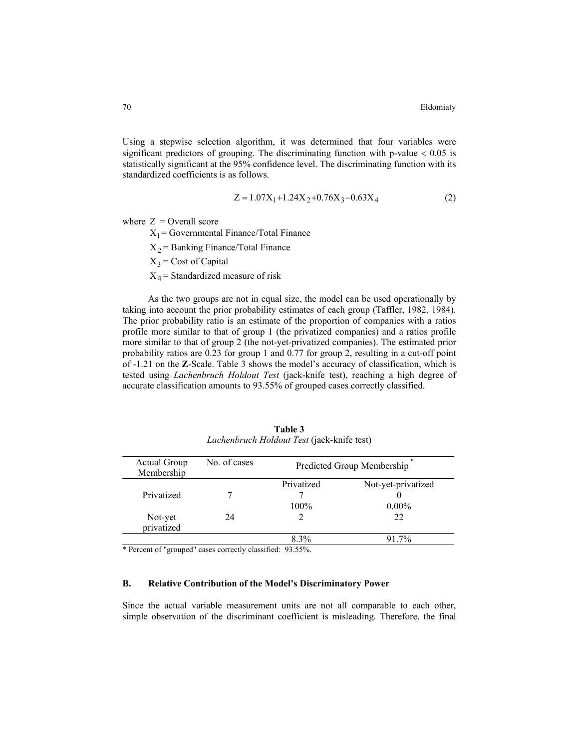Using a stepwise selection algorithm, it was determined that four variables were significant predictors of grouping. The discriminating function with p-value < 0.05 is statistically significant at the 95% confidence level. The discriminating function with its standardized coefficients is as follows.

$$
Z = 1.07X_1 + 1.24X_2 + 0.76X_3 - 0.63X_4
$$
 (2)

where  $Z =$ Overall score

 $X_1$  = Governmental Finance/Total Finance

 $X_2$  = Banking Finance/Total Finance

 $X_3$  = Cost of Capital

 $X_4$  = Standardized measure of risk

As the two groups are not in equal size, the model can be used operationally by taking into account the prior probability estimates of each group (Taffler, 1982, 1984). The prior probability ratio is an estimate of the proportion of companies with a ratios profile more similar to that of group 1 (the privatized companies) and a ratios profile more similar to that of group 2 (the not-yet-privatized companies). The estimated prior probability ratios are 0.23 for group 1 and 0.77 for group 2, resulting in a cut-off point of -1.21 on the **Z**-Scale. Table 3 shows the model's accuracy of classification, which is tested using *Lachenbruch Holdout Test* (jack-knife test), reaching a high degree of accurate classification amounts to 93.55% of grouped cases correctly classified.

| Actual Group<br>Membership | No. of cases |            | Predicted Group Membership |
|----------------------------|--------------|------------|----------------------------|
| Privatized                 |              | Privatized | Not-yet-privatized         |
|                            |              | 100%       | $0.00\%$                   |
| Not-yet<br>privatized      | 24           |            | 22                         |
|                            |              | 8.3%       | 91.7%                      |

**Table 3** *Lachenbruch Holdout Test* (jack-knife test)

\* Percent of "grouped" cases correctly classified: 93.55%.

## **B. Relative Contribution of the Model's Discriminatory Power**

Since the actual variable measurement units are not all comparable to each other, simple observation of the discriminant coefficient is misleading. Therefore, the final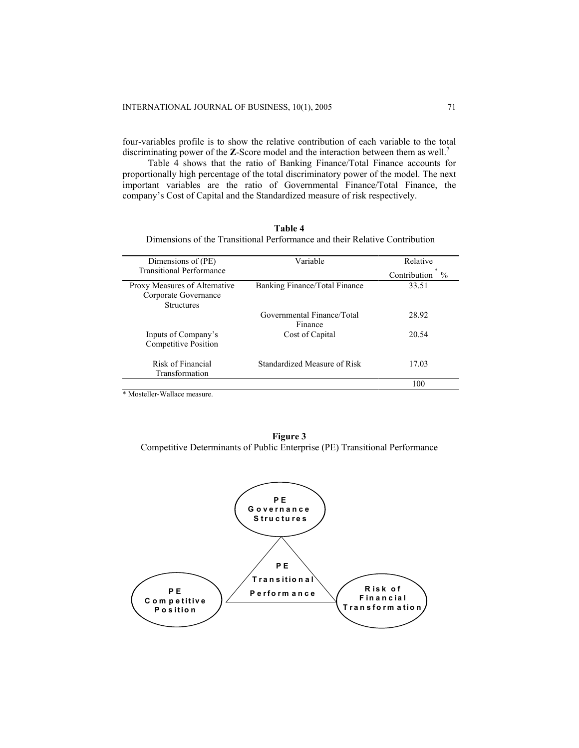four-variables profile is to show the relative contribution of each variable to the total discriminating power of the **Z**-Score model and the interaction between them as well.7

Table 4 shows that the ratio of Banking Finance/Total Finance accounts for proportionally high percentage of the total discriminatory power of the model. The next important variables are the ratio of Governmental Finance/Total Finance, the company's Cost of Capital and the Standardized measure of risk respectively.

**Table 4** Dimensions of the Transitional Performance and their Relative Contribution

| Dimensions of (PE)                                                         | Variable                              | Relative             |  |
|----------------------------------------------------------------------------|---------------------------------------|----------------------|--|
| <b>Transitional Performance</b>                                            |                                       | $\%$<br>Contribution |  |
| Proxy Measures of Alternative<br>Corporate Governance<br><b>Structures</b> | Banking Finance/Total Finance         | 33.51                |  |
|                                                                            | Governmental Finance/Total<br>Finance | 28.92                |  |
| Inputs of Company's<br>Competitive Position                                | Cost of Capital                       | 20.54                |  |
| Risk of Financial<br>Transformation                                        | Standardized Measure of Risk          | 17.03                |  |
|                                                                            |                                       | 100                  |  |

\* Mosteller-Wallace measure.



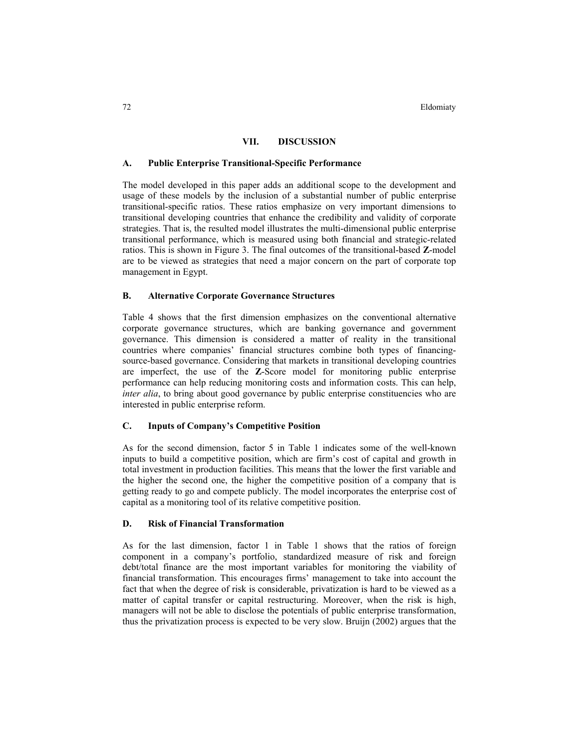#### **VII. DISCUSSION**

#### **A. Public Enterprise Transitional-Specific Performance**

The model developed in this paper adds an additional scope to the development and usage of these models by the inclusion of a substantial number of public enterprise transitional-specific ratios. These ratios emphasize on very important dimensions to transitional developing countries that enhance the credibility and validity of corporate strategies. That is, the resulted model illustrates the multi-dimensional public enterprise transitional performance, which is measured using both financial and strategic-related ratios. This is shown in Figure 3. The final outcomes of the transitional-based **Z**-model are to be viewed as strategies that need a major concern on the part of corporate top management in Egypt.

#### **B. Alternative Corporate Governance Structures**

Table 4 shows that the first dimension emphasizes on the conventional alternative corporate governance structures, which are banking governance and government governance. This dimension is considered a matter of reality in the transitional countries where companies' financial structures combine both types of financingsource-based governance. Considering that markets in transitional developing countries are imperfect, the use of the **Z**-Score model for monitoring public enterprise performance can help reducing monitoring costs and information costs. This can help, *inter alia*, to bring about good governance by public enterprise constituencies who are interested in public enterprise reform.

#### **C. Inputs of Company's Competitive Position**

As for the second dimension, factor 5 in Table 1 indicates some of the well-known inputs to build a competitive position, which are firm's cost of capital and growth in total investment in production facilities. This means that the lower the first variable and the higher the second one, the higher the competitive position of a company that is getting ready to go and compete publicly. The model incorporates the enterprise cost of capital as a monitoring tool of its relative competitive position.

## **D. Risk of Financial Transformation**

As for the last dimension, factor 1 in Table 1 shows that the ratios of foreign component in a company's portfolio, standardized measure of risk and foreign debt/total finance are the most important variables for monitoring the viability of financial transformation. This encourages firms' management to take into account the fact that when the degree of risk is considerable, privatization is hard to be viewed as a matter of capital transfer or capital restructuring. Moreover, when the risk is high, managers will not be able to disclose the potentials of public enterprise transformation, thus the privatization process is expected to be very slow. Bruijn (2002) argues that the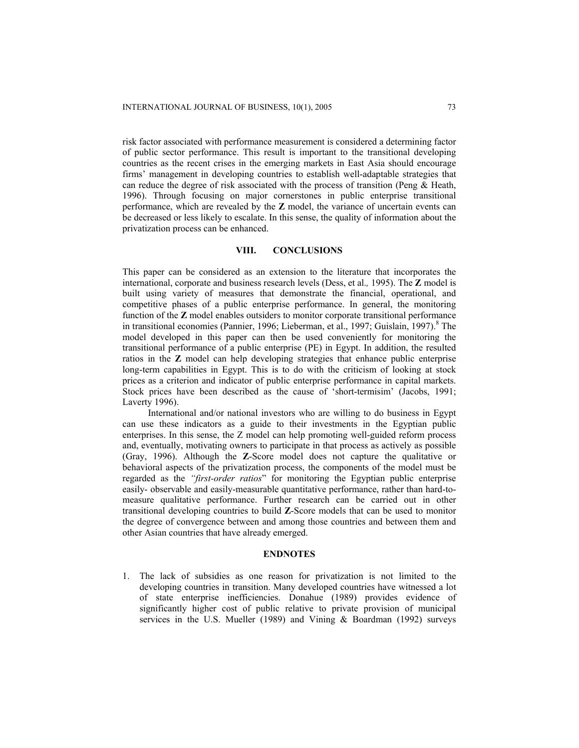risk factor associated with performance measurement is considered a determining factor of public sector performance. This result is important to the transitional developing countries as the recent crises in the emerging markets in East Asia should encourage firms' management in developing countries to establish well-adaptable strategies that can reduce the degree of risk associated with the process of transition (Peng  $\&$  Heath, 1996). Through focusing on major cornerstones in public enterprise transitional performance, which are revealed by the **Z** model, the variance of uncertain events can be decreased or less likely to escalate. In this sense, the quality of information about the privatization process can be enhanced.

## **VIII. CONCLUSIONS**

This paper can be considered as an extension to the literature that incorporates the international, corporate and business research levels (Dess, et al.*,* 1995). The **Z** model is built using variety of measures that demonstrate the financial, operational, and competitive phases of a public enterprise performance. In general, the monitoring function of the **Z** model enables outsiders to monitor corporate transitional performance in transitional economies (Pannier, 1996; Lieberman, et al., 1997; Guislain, 1997).<sup>8</sup> The model developed in this paper can then be used conveniently for monitoring the transitional performance of a public enterprise (PE) in Egypt. In addition, the resulted ratios in the **Z** model can help developing strategies that enhance public enterprise long-term capabilities in Egypt. This is to do with the criticism of looking at stock prices as a criterion and indicator of public enterprise performance in capital markets. Stock prices have been described as the cause of 'short-termisim' (Jacobs, 1991; Laverty 1996).

International and/or national investors who are willing to do business in Egypt can use these indicators as a guide to their investments in the Egyptian public enterprises. In this sense, the Z model can help promoting well-guided reform process and, eventually, motivating owners to participate in that process as actively as possible (Gray, 1996). Although the **Z**-Score model does not capture the qualitative or behavioral aspects of the privatization process, the components of the model must be regarded as the *"first-order ratios*" for monitoring the Egyptian public enterprise easily- observable and easily-measurable quantitative performance, rather than hard-tomeasure qualitative performance. Further research can be carried out in other transitional developing countries to build **Z**-Score models that can be used to monitor the degree of convergence between and among those countries and between them and other Asian countries that have already emerged.

#### **ENDNOTES**

1. The lack of subsidies as one reason for privatization is not limited to the developing countries in transition. Many developed countries have witnessed a lot of state enterprise inefficiencies. Donahue (1989) provides evidence of significantly higher cost of public relative to private provision of municipal services in the U.S. Mueller (1989) and Vining & Boardman (1992) surveys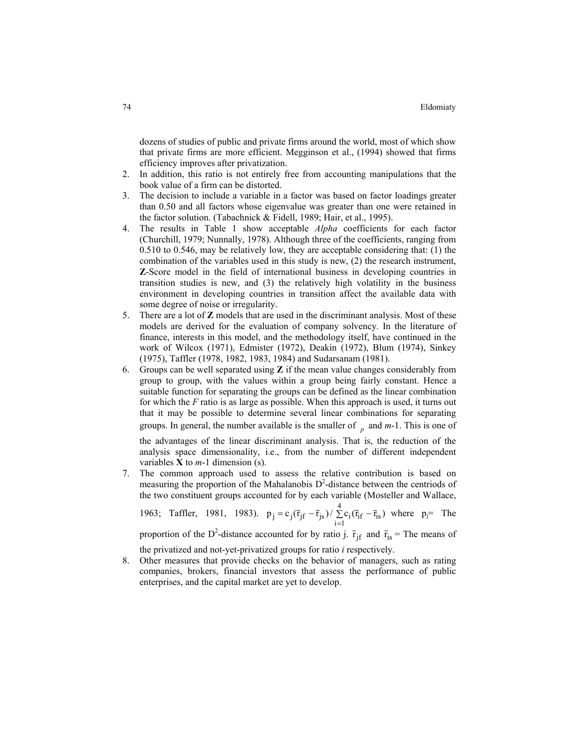dozens of studies of public and private firms around the world, most of which show that private firms are more efficient. Megginson et al., (1994) showed that firms efficiency improves after privatization.

- In addition, this ratio is not entirely free from accounting manipulations that the book value of a firm can be distorted.
- 3. The decision to include a variable in a factor was based on factor loadings greater than 0.50 and all factors whose eigenvalue was greater than one were retained in the factor solution. (Tabachnick & Fidell, 1989; Hair, et al., 1995).
- 4. The results in Table 1 show acceptable *Alpha* coefficients for each factor (Churchill, 1979; Nunnally, 1978). Although three of the coefficients, ranging from 0.510 to 0.546, may be relatively low, they are acceptable considering that: (1) the combination of the variables used in this study is new, (2) the research instrument, **Z**-Score model in the field of international business in developing countries in transition studies is new, and (3) the relatively high volatility in the business environment in developing countries in transition affect the available data with some degree of noise or irregularity.
- 5. There are a lot of **Z** models that are used in the discriminant analysis. Most of these models are derived for the evaluation of company solvency. In the literature of finance, interests in this model, and the methodology itself, have continued in the work of Wilcox (1971), Edmister (1972), Deakin (1972), Blum (1974), Sinkey (1975), Taffler (1978, 1982, 1983, 1984) and Sudarsanam (1981).
- 6. Groups can be well separated using **Z** if the mean value changes considerably from group to group, with the values within a group being fairly constant. Hence a suitable function for separating the groups can be defined as the linear combination for which the *F* ratio is as large as possible. When this approach is used, it turns out that it may be possible to determine several linear combinations for separating groups. In general, the number available is the smaller of  $_p$  and  $m-1$ . This is one of

the advantages of the linear discriminant analysis. That is, the reduction of the analysis space dimensionality, i.e., from the number of different independent variables **X** to *m*-1 dimension (s).

7. The common approach used to assess the relative contribution is based on measuring the proportion of the Mahalanobis  $D^2$ -distance between the centriods of the two constituent groups accounted for by each variable (Mosteller and Wallace,

1963; Taffler, 1981, 1983).  $p_i = c_i (\bar{r}_{if} - \bar{r}_{is}) / \sum c_i (\bar{r}_{if} - \bar{r}_{is})$ = 4  $p_j = c_j(\overline{r}_{jf} - \overline{r}_{js}) / \sum_{i=1}^{\infty} c_i(\overline{r}_{if} - \overline{r}_{is})$  where  $p_j$ = The

proportion of the D<sup>2</sup>-distance accounted for by ratio j.  $\bar{r}_{if}$  and  $\bar{r}_{is}$  = The means of the privatized and not-yet-privatized groups for ratio *i* respectively.

Other measures that provide checks on the behavior of managers, such as rating companies, brokers, financial investors that assess the performance of public enterprises, and the capital market are yet to develop.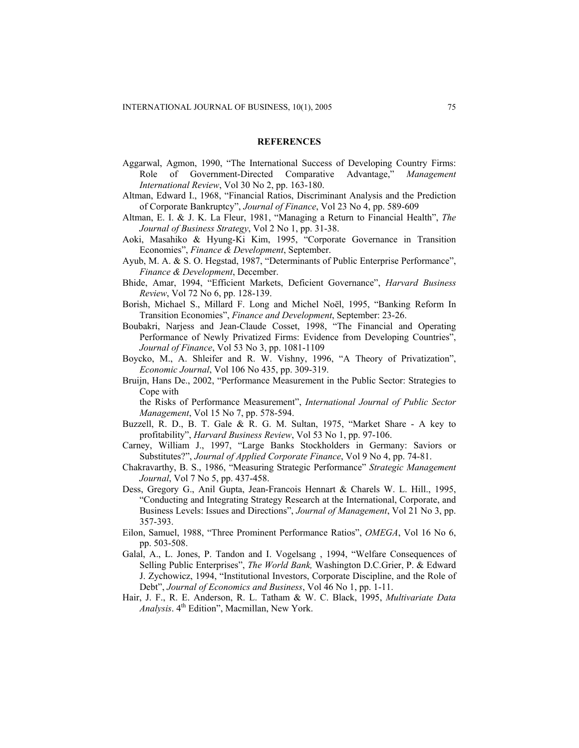#### **REFERENCES**

- Aggarwal, Agmon, 1990, "The International Success of Developing Country Firms: Role of Government-Directed Comparative Advantage," *Management International Review*, Vol 30 No 2, pp. 163-180.
- Altman, Edward I., 1968, "Financial Ratios, Discriminant Analysis and the Prediction of Corporate Bankruptcy", *Journal of Finance*, Vol 23 No 4, pp. 589-609
- Altman, E. I. & J. K. La Fleur, 1981, "Managing a Return to Financial Health", *The Journal of Business Strategy*, Vol 2 No 1, pp. 31-38.
- Aoki, Masahiko & Hyung-Ki Kim, 1995, "Corporate Governance in Transition Economies", *Finance & Development*, September.
- Ayub, M. A. & S. O. Hegstad, 1987, "Determinants of Public Enterprise Performance", *Finance & Development*, December.
- Bhide, Amar, 1994, "Efficient Markets, Deficient Governance", *Harvard Business Review*, Vol 72 No 6, pp. 128-139.
- Borish, Michael S., Millard F. Long and Michel Noël, 1995, "Banking Reform In Transition Economies", *Finance and Development*, September: 23-26.
- Boubakri, Narjess and Jean-Claude Cosset, 1998, "The Financial and Operating Performance of Newly Privatized Firms: Evidence from Developing Countries", *Journal of Finance*, Vol 53 No 3, pp. 1081-1109
- Boycko, M., A. Shleifer and R. W. Vishny, 1996, "A Theory of Privatization", *Economic Journal*, Vol 106 No 435, pp. 309-319.
- Bruijn, Hans De., 2002, "Performance Measurement in the Public Sector: Strategies to Cope with

the Risks of Performance Measurement", *International Journal of Public Sector Management*, Vol 15 No 7, pp. 578-594.

- Buzzell, R. D., B. T. Gale & R. G. M. Sultan, 1975, "Market Share A key to profitability", *Harvard Business Review*, Vol 53 No 1, pp. 97-106.
- Carney, William J., 1997, "Large Banks Stockholders in Germany: Saviors or Substitutes?", *Journal of Applied Corporate Finance*, Vol 9 No 4, pp. 74-81.
- Chakravarthy, B. S., 1986, "Measuring Strategic Performance" *Strategic Management Journal*, Vol 7 No 5, pp. 437-458.
- Dess, Gregory G., Anil Gupta, Jean-Francois Hennart & Charels W. L. Hill., 1995, "Conducting and Integrating Strategy Research at the International, Corporate, and Business Levels: Issues and Directions", *Journal of Management*, Vol 21 No 3, pp. 357-393.
- Eilon, Samuel, 1988, "Three Prominent Performance Ratios", *OMEGA*, Vol 16 No 6, pp. 503-508.
- Galal, A., L. Jones, P. Tandon and I. Vogelsang , 1994, "Welfare Consequences of Selling Public Enterprises", *The World Bank,* Washington D.C.Grier, P. & Edward J. Zychowicz, 1994, "Institutional Investors, Corporate Discipline, and the Role of Debt", *Journal of Economics and Business*, Vol 46 No 1, pp. 1-11.
- Hair, J. F., R. E. Anderson, R. L. Tatham & W. C. Black, 1995, *Multivariate Data Analysis*. 4<sup>th</sup> Edition", Macmillan, New York.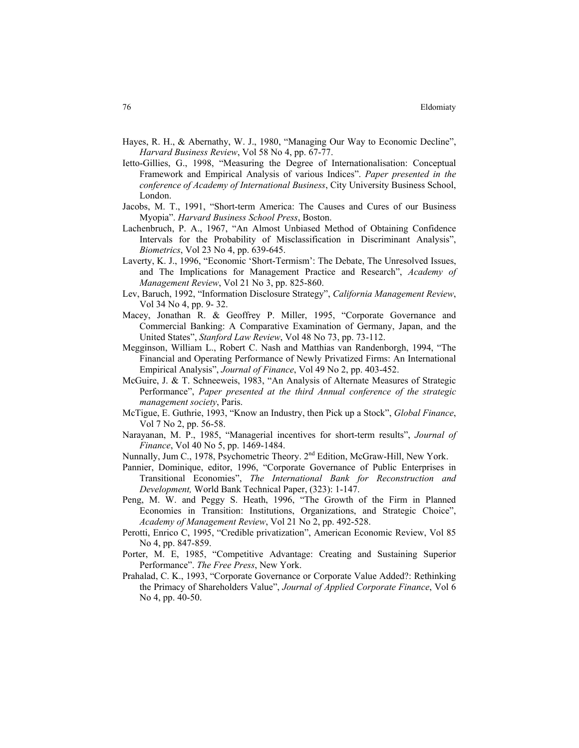- Hayes, R. H., & Abernathy, W. J., 1980, "Managing Our Way to Economic Decline", *Harvard Business Review*, Vol 58 No 4, pp. 67-77.
- Ietto-Gillies, G., 1998, "Measuring the Degree of Internationalisation: Conceptual Framework and Empirical Analysis of various Indices". *Paper presented in the conference of Academy of International Business*, City University Business School, London.
- Jacobs, M. T., 1991, "Short-term America: The Causes and Cures of our Business Myopia". *Harvard Business School Press*, Boston.
- Lachenbruch, P. A., 1967, "An Almost Unbiased Method of Obtaining Confidence Intervals for the Probability of Misclassification in Discriminant Analysis", *Biometrics*, Vol 23 No 4, pp. 639-645.
- Laverty, K. J., 1996, "Economic 'Short-Termism': The Debate, The Unresolved Issues, and The Implications for Management Practice and Research", *Academy of Management Review*, Vol 21 No 3, pp. 825-860.
- Lev, Baruch, 1992, "Information Disclosure Strategy", *California Management Review*, Vol 34 No 4, pp. 9- 32.
- Macey, Jonathan R. & Geoffrey P. Miller, 1995, "Corporate Governance and Commercial Banking: A Comparative Examination of Germany, Japan, and the United States", *Stanford Law Review*, Vol 48 No 73, pp. 73-112.
- Megginson, William L., Robert C. Nash and Matthias van Randenborgh, 1994, "The Financial and Operating Performance of Newly Privatized Firms: An International Empirical Analysis", *Journal of Finance*, Vol 49 No 2, pp. 403-452.
- McGuire, J. & T. Schneeweis, 1983, "An Analysis of Alternate Measures of Strategic Performance", *Paper presented at the third Annual conference of the strategic management society*, Paris.
- McTigue, E. Guthrie, 1993, "Know an Industry, then Pick up a Stock", *Global Finance*, Vol 7 No 2, pp. 56-58.
- Narayanan, M. P., 1985, "Managerial incentives for short-term results", *Journal of Finance*, Vol 40 No 5, pp. 1469-1484.
- Nunnally, Jum C., 1978, Psychometric Theory. 2<sup>nd</sup> Edition, McGraw-Hill, New York.
- Pannier, Dominique, editor, 1996, "Corporate Governance of Public Enterprises in Transitional Economies", *The International Bank for Reconstruction and Development,* World Bank Technical Paper, (323): 1-147.
- Peng, M. W. and Peggy S. Heath, 1996, "The Growth of the Firm in Planned Economies in Transition: Institutions, Organizations, and Strategic Choice", *Academy of Management Review*, Vol 21 No 2, pp. 492-528.
- Perotti, Enrico C, 1995, "Credible privatization", American Economic Review, Vol 85 No 4, pp. 847-859.
- Porter, M. E, 1985, "Competitive Advantage: Creating and Sustaining Superior Performance". *The Free Press*, New York.
- Prahalad, C. K., 1993, "Corporate Governance or Corporate Value Added?: Rethinking the Primacy of Shareholders Value", *Journal of Applied Corporate Finance*, Vol 6 No 4, pp. 40-50.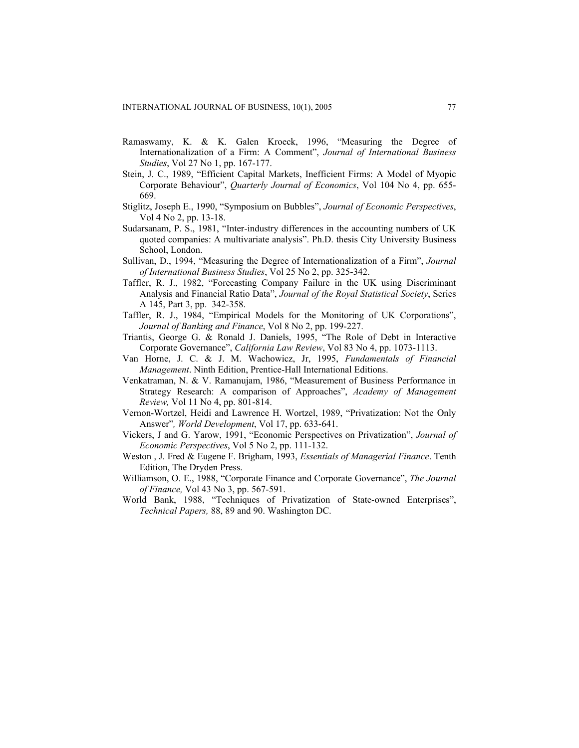- Ramaswamy, K. & K. Galen Kroeck, 1996, "Measuring the Degree of Internationalization of a Firm: A Comment", *Journal of International Business Studies*, Vol 27 No 1, pp. 167-177.
- Stein, J. C., 1989, "Efficient Capital Markets, Inefficient Firms: A Model of Myopic Corporate Behaviour", *Quarterly Journal of Economics*, Vol 104 No 4, pp. 655- 669.
- Stiglitz, Joseph E., 1990, "Symposium on Bubbles", *Journal of Economic Perspectives*, Vol 4 No 2, pp. 13-18.
- Sudarsanam, P. S., 1981, "Inter-industry differences in the accounting numbers of UK quoted companies: A multivariate analysis". Ph.D. thesis City University Business School, London.
- Sullivan, D., 1994, "Measuring the Degree of Internationalization of a Firm", *Journal of International Business Studies*, Vol 25 No 2, pp. 325-342.
- Taffler, R. J., 1982, "Forecasting Company Failure in the UK using Discriminant Analysis and Financial Ratio Data", *Journal of the Royal Statistical Society*, Series A 145, Part 3, pp. 342-358.
- Taffler, R. J., 1984, "Empirical Models for the Monitoring of UK Corporations", *Journal of Banking and Finance*, Vol 8 No 2, pp. 199-227.
- Triantis, George G. & Ronald J. Daniels, 1995, "The Role of Debt in Interactive Corporate Governance", *California Law Review*, Vol 83 No 4, pp. 1073-1113.
- Van Horne, J. C. & J. M. Wachowicz, Jr, 1995, *Fundamentals of Financial Management*. Ninth Edition, Prentice-Hall International Editions.
- Venkatraman, N. & V. Ramanujam, 1986, "Measurement of Business Performance in Strategy Research: A comparison of Approaches", *Academy of Management Review,* Vol 11 No 4, pp. 801-814.
- Vernon-Wortzel, Heidi and Lawrence H. Wortzel, 1989, "Privatization: Not the Only Answer"*, World Development*, Vol 17, pp. 633-641.
- Vickers, J and G. Yarow, 1991, "Economic Perspectives on Privatization", *Journal of Economic Perspectives*, Vol 5 No 2, pp. 111-132.
- Weston , J. Fred & Eugene F. Brigham, 1993, *Essentials of Managerial Finance*. Tenth Edition, The Dryden Press.
- Williamson, O. E., 1988, "Corporate Finance and Corporate Governance", *The Journal of Finance,* Vol 43 No 3, pp. 567-591.
- World Bank, 1988, "Techniques of Privatization of State-owned Enterprises", *Technical Papers,* 88, 89 and 90. Washington DC.